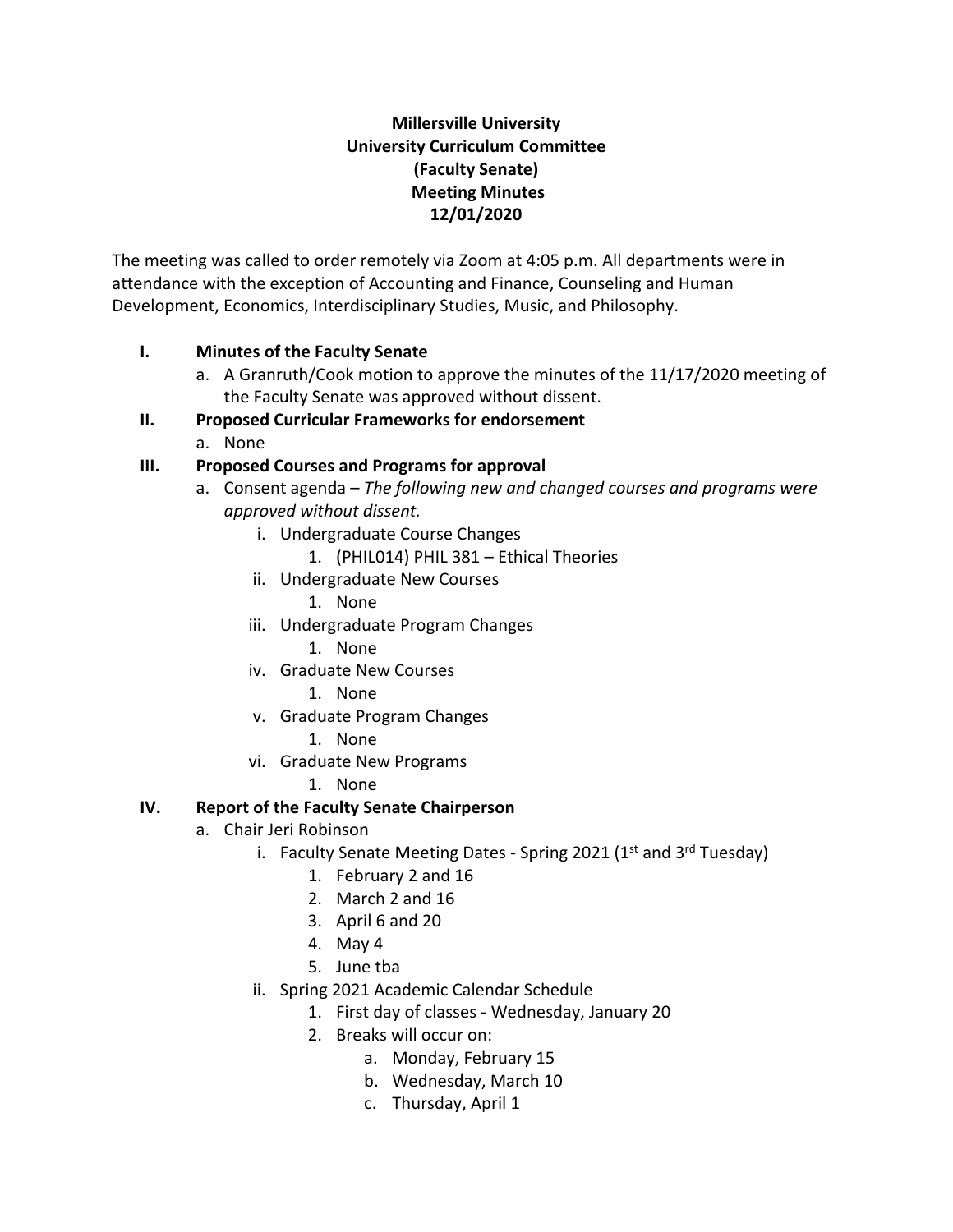## **Millersville University University Curriculum Committee (Faculty Senate) Meeting Minutes 12/01/2020**

The meeting was called to order remotely via Zoom at 4:05 p.m. All departments were in attendance with the exception of Accounting and Finance, Counseling and Human Development, Economics, Interdisciplinary Studies, Music, and Philosophy.

#### **I. Minutes of the Faculty Senate**

a. A Granruth/Cook motion to approve the minutes of the 11/17/2020 meeting of the Faculty Senate was approved without dissent.

#### **II. Proposed Curricular Frameworks for endorsement**

a. None

#### **III. Proposed Courses and Programs for approval**

- a. Consent agenda *The following new and changed courses and programs were approved without dissent.*
	- i. Undergraduate Course Changes
		- 1. (PHIL014) PHIL 381 Ethical Theories
	- ii. Undergraduate New Courses
		- 1. None
	- iii. Undergraduate Program Changes
		- 1. None
	- iv. Graduate New Courses
		- 1. None
	- v. Graduate Program Changes
		- 1. None
	- vi. Graduate New Programs
		- 1. None

#### **IV. Report of the Faculty Senate Chairperson**

- a. Chair Jeri Robinson
	- i. Faculty Senate Meeting Dates Spring 2021 ( $1<sup>st</sup>$  and  $3<sup>rd</sup>$  Tuesday)
		- 1. February 2 and 16
		- 2. March 2 and 16
		- 3. April 6 and 20
		- 4. May 4
		- 5. June tba
	- ii. Spring 2021 Academic Calendar Schedule
		- 1. First day of classes Wednesday, January 20
		- 2. Breaks will occur on:
			- a. Monday, February 15
			- b. Wednesday, March 10
			- c. Thursday, April 1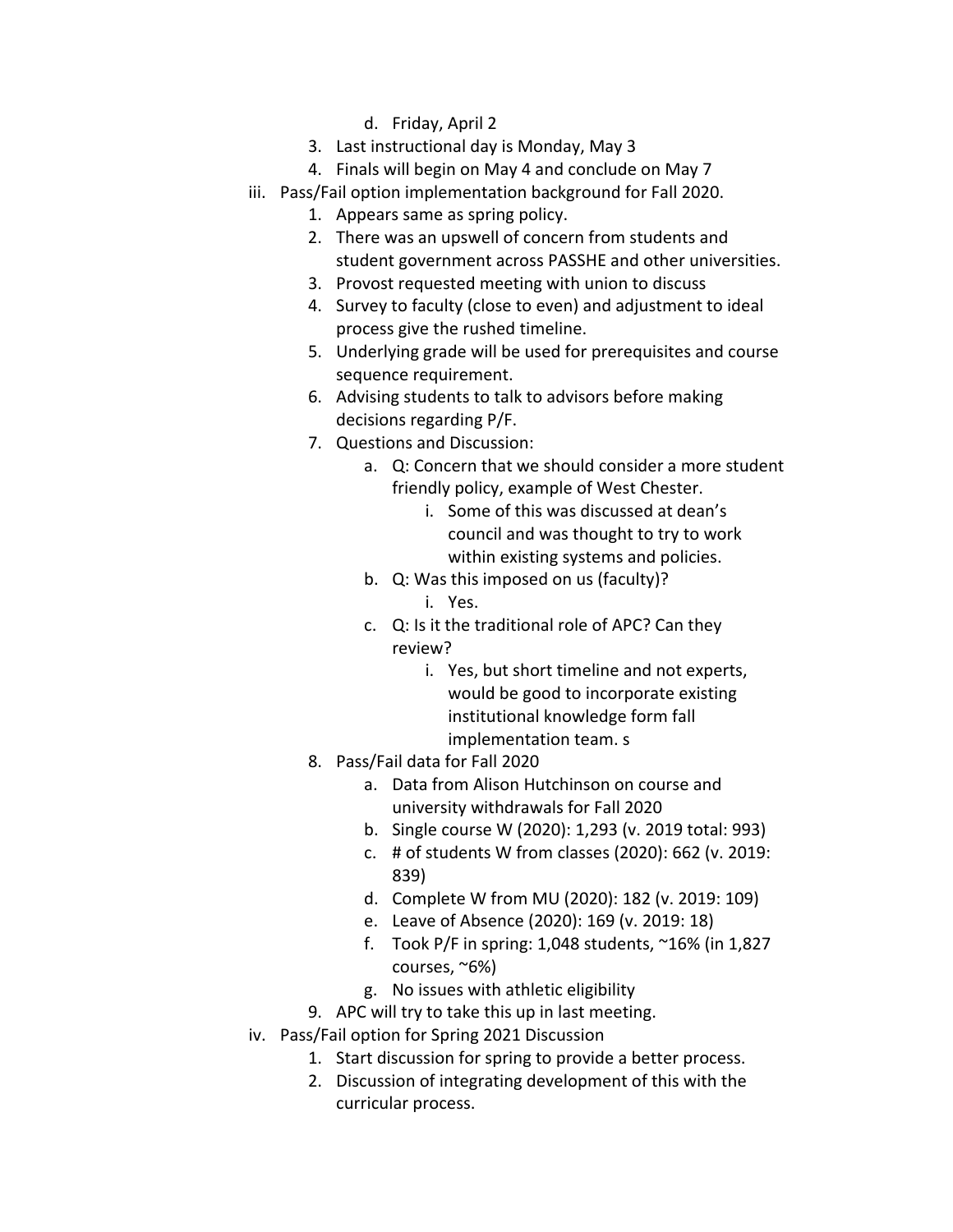- d. Friday, April 2
- 3. Last instructional day is Monday, May 3
- 4. Finals will begin on May 4 and conclude on May 7
- iii. Pass/Fail option implementation background for Fall 2020.
	- 1. Appears same as spring policy.
	- 2. There was an upswell of concern from students and student government across PASSHE and other universities.
	- 3. Provost requested meeting with union to discuss
	- 4. Survey to faculty (close to even) and adjustment to ideal process give the rushed timeline.
	- 5. Underlying grade will be used for prerequisites and course sequence requirement.
	- 6. Advising students to talk to advisors before making decisions regarding P/F.
	- 7. Questions and Discussion:
		- a. Q: Concern that we should consider a more student friendly policy, example of West Chester.
			- i. Some of this was discussed at dean's council and was thought to try to work within existing systems and policies.
		- b. Q: Was this imposed on us (faculty)?
			- i. Yes.
		- c. Q: Is it the traditional role of APC? Can they review?
			- i. Yes, but short timeline and not experts, would be good to incorporate existing institutional knowledge form fall implementation team. s
	- 8. Pass/Fail data for Fall 2020
		- a. Data from Alison Hutchinson on course and university withdrawals for Fall 2020
		- b. Single course W (2020): 1,293 (v. 2019 total: 993)
		- c. # of students W from classes (2020): 662 (v. 2019: 839)
		- d. Complete W from MU (2020): 182 (v. 2019: 109)
		- e. Leave of Absence (2020): 169 (v. 2019: 18)
		- f. Took P/F in spring: 1,048 students, ~16% (in 1,827 courses, ~6%)
		- g. No issues with athletic eligibility
	- 9. APC will try to take this up in last meeting.
- iv. Pass/Fail option for Spring 2021 Discussion
	- 1. Start discussion for spring to provide a better process.
	- 2. Discussion of integrating development of this with the curricular process.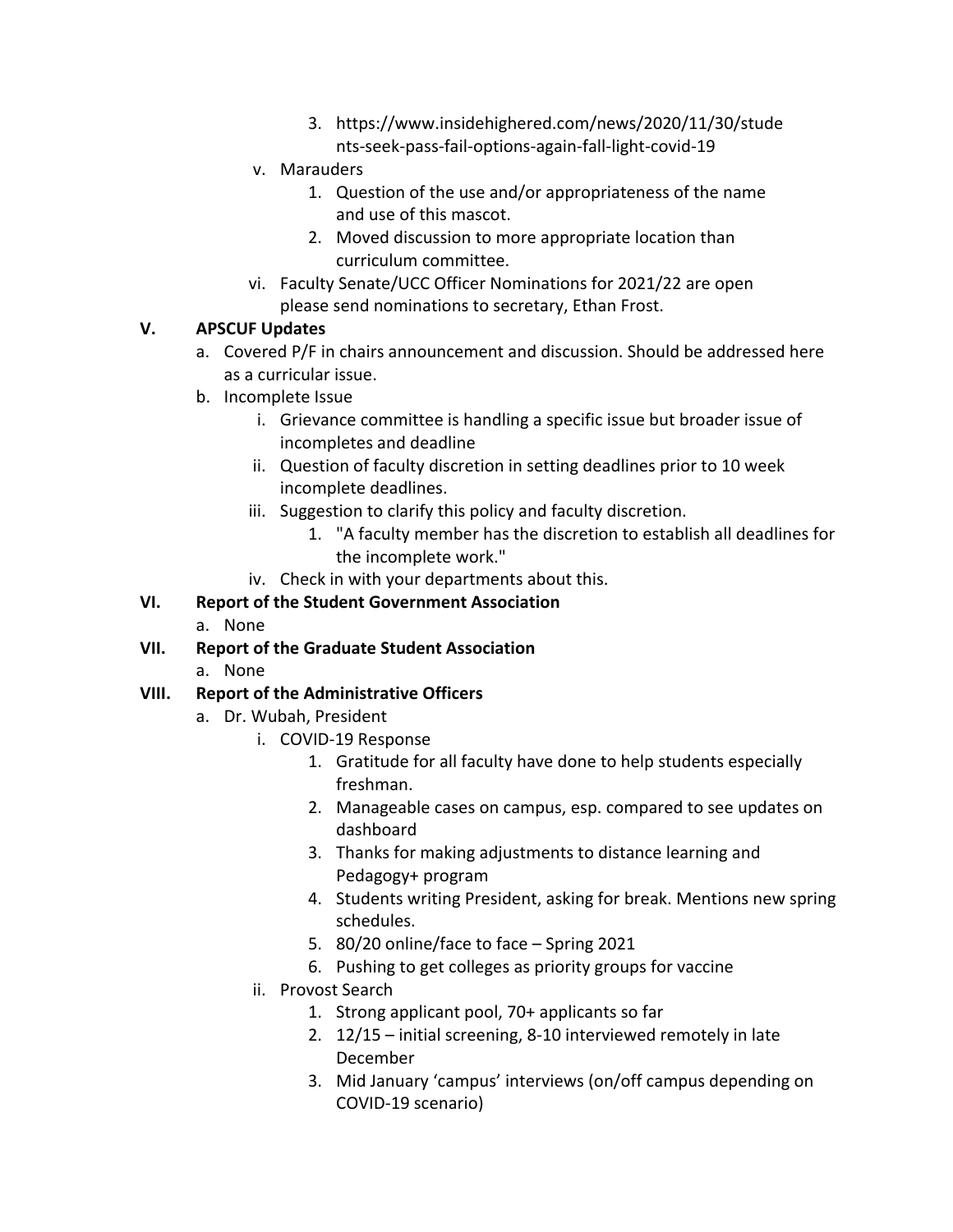- 3. https://www.insidehighered.com/news/2020/11/30/stude nts-seek-pass-fail-options-again-fall-light-covid-19
- v. Marauders
	- 1. Question of the use and/or appropriateness of the name and use of this mascot.
	- 2. Moved discussion to more appropriate location than curriculum committee.
- vi. Faculty Senate/UCC Officer Nominations for 2021/22 are open please send nominations to secretary, Ethan Frost.

## **V. APSCUF Updates**

- a. Covered P/F in chairs announcement and discussion. Should be addressed here as a curricular issue.
- b. Incomplete Issue
	- i. Grievance committee is handling a specific issue but broader issue of incompletes and deadline
	- ii. Question of faculty discretion in setting deadlines prior to 10 week incomplete deadlines.
	- iii. Suggestion to clarify this policy and faculty discretion.
		- 1. "A faculty member has the discretion to establish all deadlines for the incomplete work."
	- iv. Check in with your departments about this.

# **VI. Report of the Student Government Association**

- a. None
- **VII. Report of the Graduate Student Association**
	- a. None

## **VIII. Report of the Administrative Officers**

- a. Dr. Wubah, President
	- i. COVID-19 Response
		- 1. Gratitude for all faculty have done to help students especially freshman.
		- 2. Manageable cases on campus, esp. compared to see updates on dashboard
		- 3. Thanks for making adjustments to distance learning and Pedagogy+ program
		- 4. Students writing President, asking for break. Mentions new spring schedules.
		- 5. 80/20 online/face to face Spring 2021
		- 6. Pushing to get colleges as priority groups for vaccine
	- ii. Provost Search
		- 1. Strong applicant pool, 70+ applicants so far
		- 2. 12/15 initial screening, 8-10 interviewed remotely in late December
		- 3. Mid January 'campus' interviews (on/off campus depending on COVID-19 scenario)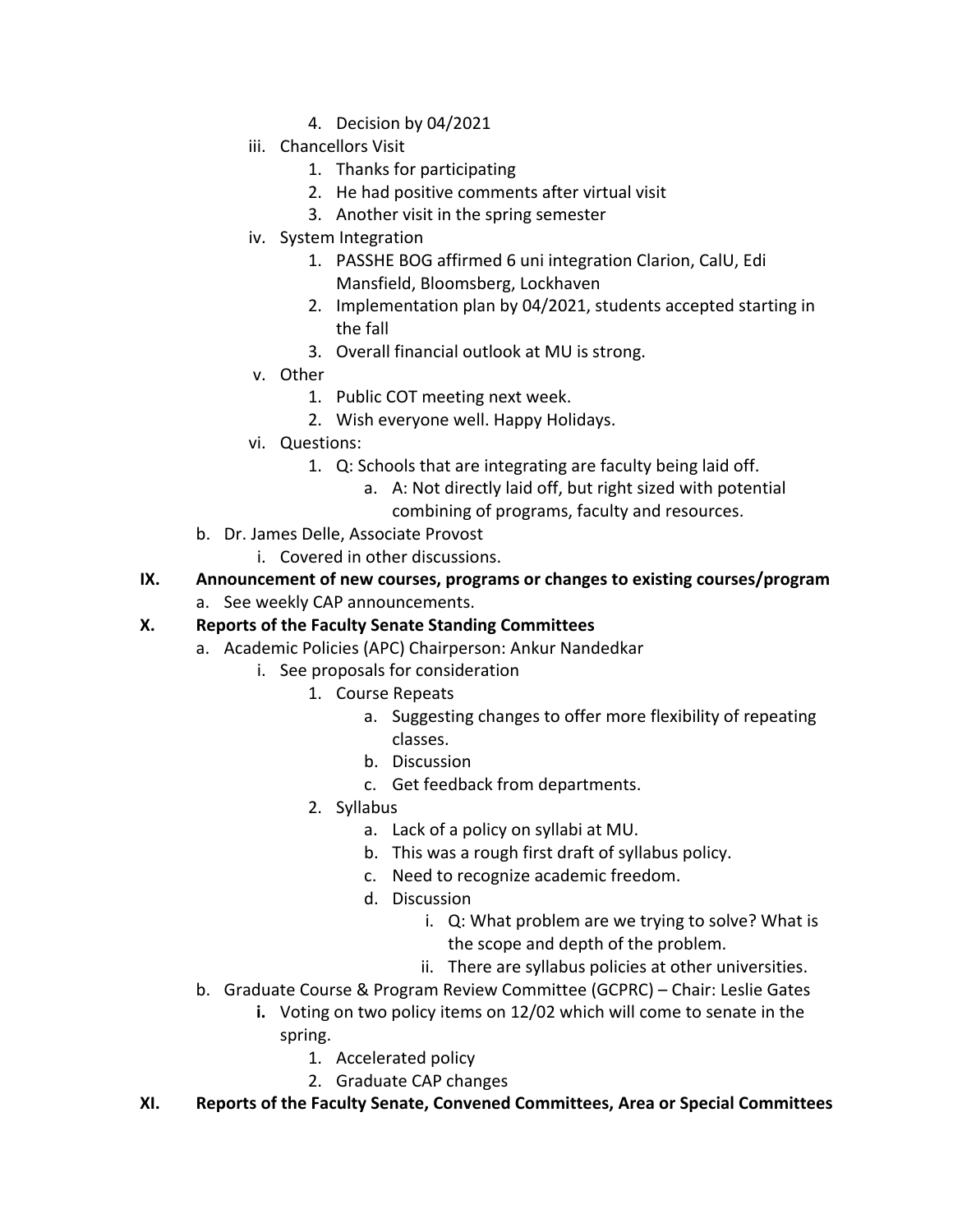- 4. Decision by 04/2021
- iii. Chancellors Visit
	- 1. Thanks for participating
	- 2. He had positive comments after virtual visit
	- 3. Another visit in the spring semester
- iv. System Integration
	- 1. PASSHE BOG affirmed 6 uni integration Clarion, CalU, Edi Mansfield, Bloomsberg, Lockhaven
	- 2. Implementation plan by 04/2021, students accepted starting in the fall
	- 3. Overall financial outlook at MU is strong.
- v. Other
	- 1. Public COT meeting next week.
	- 2. Wish everyone well. Happy Holidays.
- vi. Questions:
	- 1. Q: Schools that are integrating are faculty being laid off.
		- a. A: Not directly laid off, but right sized with potential
			- combining of programs, faculty and resources.
- b. Dr. James Delle, Associate Provost
	- i. Covered in other discussions.
- **IX. Announcement of new courses, programs or changes to existing courses/program**
	- a. See weekly CAP announcements.

#### **X. Reports of the Faculty Senate Standing Committees**

- a. Academic Policies (APC) Chairperson: Ankur Nandedkar
	- i. See proposals for consideration
		- 1. Course Repeats
			- a. Suggesting changes to offer more flexibility of repeating classes.
			- b. Discussion
			- c. Get feedback from departments.
		- 2. Syllabus
			- a. Lack of a policy on syllabi at MU.
			- b. This was a rough first draft of syllabus policy.
			- c. Need to recognize academic freedom.
			- d. Discussion
				- i. Q: What problem are we trying to solve? What is the scope and depth of the problem.
				- ii. There are syllabus policies at other universities.
- b. Graduate Course & Program Review Committee (GCPRC) Chair: Leslie Gates
	- **i.** Voting on two policy items on 12/02 which will come to senate in the spring.
		- 1. Accelerated policy
		- 2. Graduate CAP changes
- **XI. Reports of the Faculty Senate, Convened Committees, Area or Special Committees**